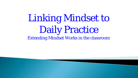# Linking Mindset to Daily Practice Extending Mindset Works in the classroom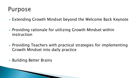## **Purpose**

- ▶ Extending Growth Mindset beyond the Welcome Back Keynote
- ▶ Providing rationale for utilizing Growth Mindset within instruction
- ▶ Providing Teachers with practical strategies for implementing Growth Mindset into daily practice
- Building Better Brains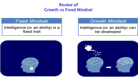### **Review of Growth vs Fixed Mindset**

#### **Fixed Mindset**

Intelligence (or an ability) is a fixed trait



### **Growth Mindset**

#### Intelligence (or an ability) can be developed

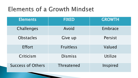# **Elements of a Growth Mindset**

| <b>Elements</b>          | <b>FIXED</b>      | <b>GROWTH</b> |
|--------------------------|-------------------|---------------|
| Challenges               | Avoid             | Embrace       |
| <b>Obstacles</b>         | Give up           | Persist       |
| <b>Effort</b>            | <b>Fruitless</b>  | Valued        |
| Criticism                | Dismiss           | Utilize       |
| <b>Success of Others</b> | <b>Threatened</b> | Inspired      |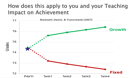### How does this apply to you and your Teaching **Impact on Achievement**

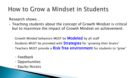# How to Grow a Mindset in Students

Research shows…

- ▶ Teaching students about the concept of Growth Mindset is critical but to maximize the impact of Growth Mindset on achievement:
	- Growth Minded behaviors MUST be **Modeled** by all staff
	- Students MUST be provided with Strategies for 'growing their brains"
	- Teachers MUST provide a Risk free environment for students to "grow"
		- Feedback
		- Opportunities
		- Equity/Access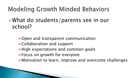# **Modeling Growth Minded Behaviors**

 What do students/parents see in our school?

Open and transparent communication Collaboration and support >High expectations and common goals Focus on growth for everyone Motivation to learn, improve and overcome challenges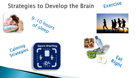#### Exercise **Strategies to Develop the Brain**



 $\frac{9.70}{9.568}$ 





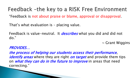Feedback -the key to a RISK Free Environment "Feedback is not about praise or blame, approval or disapproval.

That's what evaluation is – placing value.

Feedback is value-neutral. It *describes* what you did and did not do."

 $\sim$  Grant Wiggins

PROVIDES…

the process of helping our students assess their performance, *identify areas* where they are right *on target* and provide them tips on *what they can do in the future to improve* in areas that need correcting."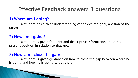### **Effective Feedback answers 3 questions**

### 1) Where am I going?

- a student has a clear understanding of the desired goal, a vision of the target

### 2) How am I going?

- a student is given frequent and descriptive information about his present position in relation to that goal

### 3) How can I close the gap?

- a student is given guidance on how to close the gap between where he is going and how he is going to get there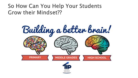### So How Can You Help Your Students **Grow their Mindset??**

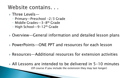### Website contains...

- **▶ Three Levels**
	- Primary—Preschool -2/3 Grade
	- Middle Grades—3-8th Grade
	- High School—9-12th Grade
- ▶ Overview—General information and detailed lesson plans
- ▶ PowerPoints—ONE PPT and resources for each lesson
- Resources—Additional resources for extension activities

 All Lessons are intended to be delivered in 5-10 minutes (Of course if you include the extension they may last longer)